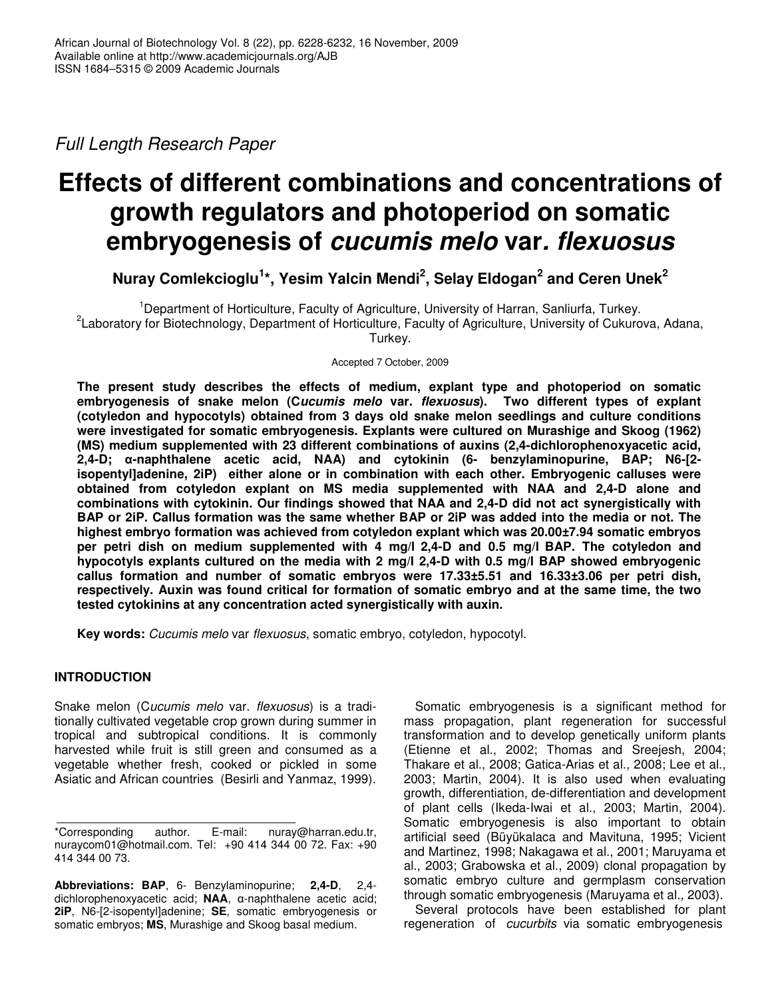*Full Length Research Paper*

# **Effects of different combinations and concentrations of growth regulators and photoperiod on somatic embryogenesis of** *cucumis melo* **var***. flexuosus*

**Nuray Comlekcioglu 1 \*, Yesim Yalcin Mendi 2 , Selay Eldogan 2 and Ceren Unek 2**

<sup>1</sup>Department of Horticulture, Faculty of Agriculture, University of Harran, Sanliurfa, Turkey. 2 Laboratory for Biotechnology, Department of Horticulture, Faculty of Agriculture, University of Cukurova, Adana, Turkey.

Accepted 7 October, 2009

**The present study describes the effects of medium, explant type and photoperiod on somatic embryogenesis of snake melon (C***ucumis melo* **var.** *flexuosus***). Two different types of explant (cotyledon and hypocotyls) obtained from 3 days old snake melon seedlings and culture conditions were investigated for somatic embryogenesis. Explants were cultured on Murashige and Skoog (1962) (MS) medium supplemented with 23 different combinations of auxins (2,4-dichlorophenoxyacetic acid, 2,4-D; -naphthalene acetic acid, NAA) and cytokinin (6- benzylaminopurine, BAP; N6-[2 isopentyl]adenine, 2iP) either alone or in combination with each other. Embryogenic calluses were obtained from cotyledon explant on MS media supplemented with NAA and 2,4-D alone and combinations with cytokinin. Our findings showed that NAA and 2,4-D did not act synergistically with** BAP or 2iP. Callus formation was the same whether BAP or 2iP was added into the media or not. The **highest embryo formation was achieved from cotyledon explant which was 20.00±7.94 somatic embryos per petri dish on medium supplemented with 4 mg/l 2,4-D and 0.5 mg/l BAP. The cotyledon and hypocotyls explants cultured on the media with 2 mg/l 2,4-D with 0.5 mg/l BAP showed embryogenic callus formation and number of somatic embryos were 17.33±5.51 and 16.33±3.06 per petri dish, respectively. Auxin was found critical for formation of somatic embryo and at the same time, the two tested cytokinins at any concentration acted synergistically with auxin.**

**Key words:** *Cucumis melo* var *flexuosus*, somatic embryo, cotyledon, hypocotyl.

# **INTRODUCTION**

Snake melon (C*ucumis melo* var. *flexuosus*) is a traditionally cultivated vegetable crop grown during summer in tropical and subtropical conditions. It is commonly harvested while fruit is still green and consumed as a vegetable whether fresh, cooked or pickled in some Asiatic and African countries (Besirli and Yanmaz, 1999).

**Abbreviations: BAP**, 6- Benzylaminopurine; **2,4-D**, 2,4 dichlorophenoxyacetic acid; NAA,  $\alpha$ -naphthalene acetic acid; **2iP**, N6-[2-isopentyl]adenine; **SE**, somatic embryogenesis or somatic embryos; **MS**, Murashige and Skoog basal medium.

Somatic embryogenesis is a significant method for mass propagation, plant regeneration for successful transformation and to develop genetically uniform plants (Etienne et al., 2002; Thomas and Sreejesh, 2004; Thakare et al., 2008; Gatica-Arias et al., 2008; Lee et al., 2003; Martin, 2004). It is also used when evaluating growth, differentiation, de-differentiation and development of plant cells (Ikeda-Iwai et al., 2003; Martin, 2004). Somatic embryogenesis is also important to obtain artificial seed (Büyükalaca and Mavituna, 1995; Vicient and Martinez, 1998; Nakagawa et al., 2001; Maruyama et al., 2003; Grabowska et al., 2009) clonal propagation by somatic embryo culture and germplasm conservation through somatic embryogenesis (Maruyama et al*.,* 2003).

Several protocols have been established for plant regeneration of *cucurbits* via somatic embryogenesis

<sup>\*</sup>Corresponding author. E-mail: nuray@harran.edu.tr, nuraycom01@hotmail.com. Tel: +90 414 344 00 72. Fax: +90 414 344 00 73.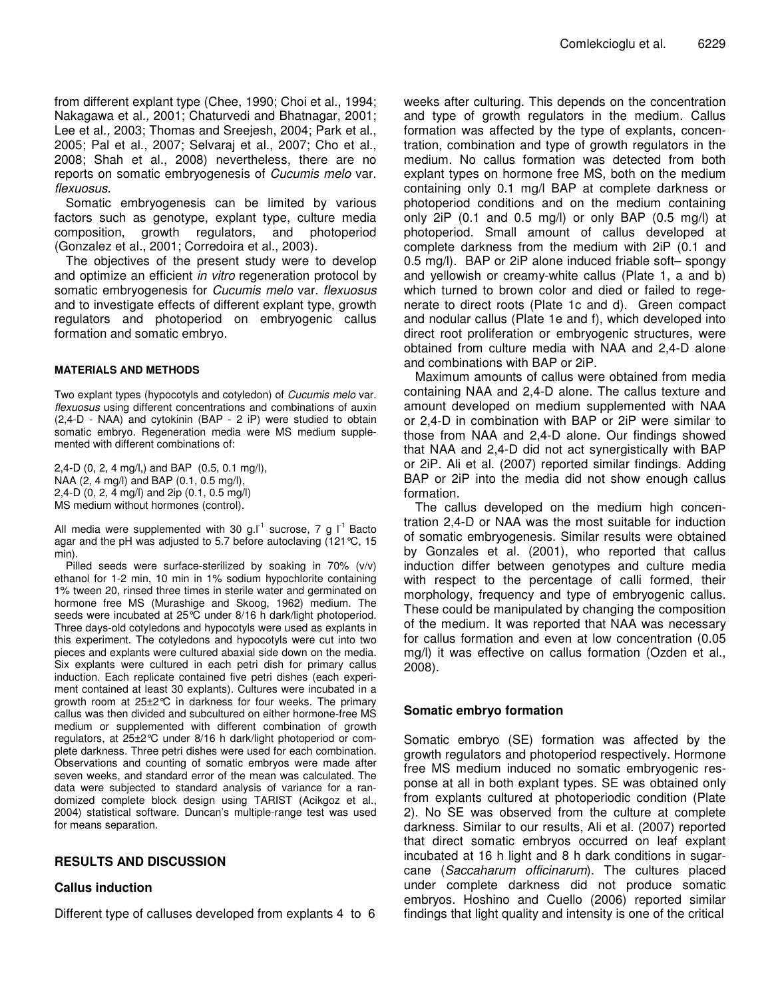from different explant type (Chee, 1990; Choi et al., 1994; Nakagawa et al*.,* 2001; Chaturvedi and Bhatnagar, 2001; Lee et al*.,* 2003; Thomas and Sreejesh, 2004; Park et al., 2005; Pal et al., 2007; Selvaraj et al., 2007; Cho et al., 2008; Shah et al., 2008) nevertheless, there are no reports on somatic embryogenesis of *Cucumis melo* var. *flexuosus*.

Somatic embryogenesis can be limited by various factors such as genotype, explant type, culture media composition, growth regulators, and photoperiod (Gonzalez et al*.*, 2001; Corredoira et al*.*, 2003).

The objectives of the present study were to develop and optimize an efficient *in vitro* regeneration protocol by somatic embryogenesis for *Cucumis melo* var. *flexuosus* and to investigate effects of different explant type, growth regulators and photoperiod on embryogenic callus formation and somatic embryo.

#### **MATERIALS AND METHODS**

Two explant types (hypocotyls and cotyledon) of *Cucumis melo* var. *flexuosus* using different concentrations and combinations of auxin (2,4-D - NAA) and cytokinin (BAP - 2 iP) were studied to obtain somatic embryo. Regeneration media were MS medium supplemented with different combinations of:

2,4-D (0, 2, 4 mg/l,) and BAP (0.5, 0.1 mg/l), NAA (2, 4 mg/l) and BAP (0.1, 0.5 mg/l), 2,4-D (0, 2, 4 mg/l) and 2ip (0.1, 0.5 mg/l) MS medium without hormones (control).

All media were supplemented with 30 g.I<sup>-1</sup> sucrose, 7 g I<sup>-1</sup> Bacto agar and the pH was adjusted to 5.7 before autoclaving (121°C, 15 min).

Pilled seeds were surface-sterilized by soaking in 70% (v/v) ethanol for 1-2 min, 10 min in 1% sodium hypochlorite containing 1% tween 20, rinsed three times in sterile water and germinated on hormone free MS (Murashige and Skoog, 1962) medium. The seeds were incubated at 25°C under 8/16 h dark/light photoperiod. Three days-old cotyledons and hypocotyls were used as explants in this experiment. The cotyledons and hypocotyls were cut into two pieces and explants were cultured abaxial side down on the media. Six explants were cultured in each petri dish for primary callus induction. Each replicate contained five petri dishes (each experiment contained at least 30 explants). Cultures were incubated in a growth room at 25±2°C in darkness for four weeks. The primary callus was then divided and subcultured on either hormone-free MS medium or supplemented with different combination of growth regulators, at 25±2°C under 8/16 h dark/light photoperiod or complete darkness. Three petri dishes were used for each combination. Observations and counting of somatic embryos were made after seven weeks, and standard error of the mean was calculated. The data were subjected to standard analysis of variance for a randomized complete block design using TARIST (Acikgoz et al., 2004) statistical software. Duncan's multiple-range test was used for means separation.

# **RESULTS AND DISCUSSION**

## **Callus induction**

Different type of calluses developed from explants 4 to 6

weeks after culturing. This depends on the concentration and type of growth regulators in the medium. Callus formation was affected by the type of explants, concentration, combination and type of growth regulators in the medium. No callus formation was detected from both explant types on hormone free MS, both on the medium containing only 0.1 mg/l BAP at complete darkness or photoperiod conditions and on the medium containing only 2iP  $(0.1$  and  $0.5$  mg/l) or only BAP  $(0.5 \text{ mg/l})$  at photoperiod. Small amount of callus developed at complete darkness from the medium with 2iP (0.1 and 0.5 mg/l). BAP or 2iP alone induced friable soft– spongy and yellowish or creamy-white callus (Plate 1, a and b) which turned to brown color and died or failed to regenerate to direct roots (Plate 1c and d). Green compact and nodular callus (Plate 1e and f), which developed into direct root proliferation or embryogenic structures, were obtained from culture media with NAA and 2,4-D alone and combinations with BAP or 2iP.

Maximum amounts of callus were obtained from media containing NAA and 2,4-D alone. The callus texture and amount developed on medium supplemented with NAA or 2,4-D in combination with BAP or 2iP were similar to those from NAA and 2,4-D alone. Our findings showed that NAA and 2,4-D did not act synergistically with BAP or 2iP. Ali et al. (2007) reported similar findings. Adding BAP or 2iP into the media did not show enough callus formation.

The callus developed on the medium high concentration 2,4-D or NAA was the most suitable for induction of somatic embryogenesis. Similar results were obtained by Gonzales et al. (2001), who reported that callus induction differ between genotypes and culture media with respect to the percentage of calli formed, their morphology, frequency and type of embryogenic callus. These could be manipulated by changing the composition of the medium. It was reported that NAA was necessary for callus formation and even at low concentration (0.05 mg/l) it was effective on callus formation (Ozden et al., 2008).

## **Somatic embryo formation**

Somatic embryo (SE) formation was affected by the growth regulators and photoperiod respectively. Hormone free MS medium induced no somatic embryogenic response at all in both explant types. SE was obtained only from explants cultured at photoperiodic condition (Plate 2). No SE was observed from the culture at complete darkness. Similar to our results, Ali et al. (2007) reported that direct somatic embryos occurred on leaf explant incubated at 16 h light and 8 h dark conditions in sugarcane (*Saccaharum officinarum*). The cultures placed under complete darkness did not produce somatic embryos. Hoshino and Cuello (2006) reported similar findings that light quality and intensity is one of the critical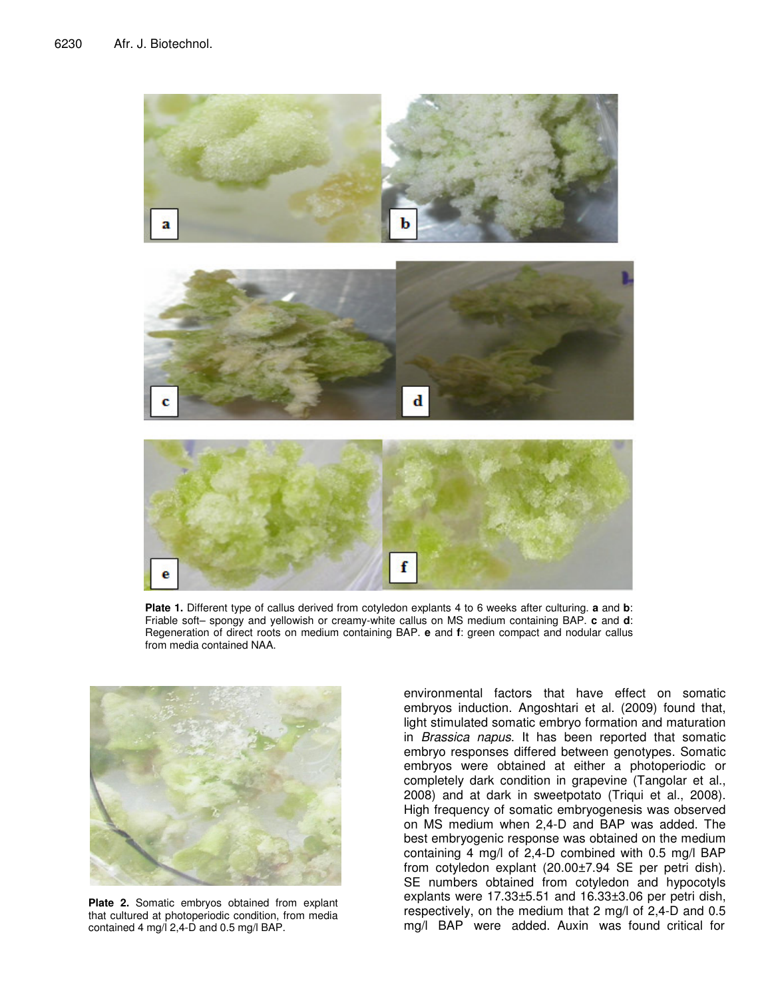

**Plate 1.** Different type of callus derived from cotyledon explants 4 to 6 weeks after culturing. **a** and **b**: Friable soft– spongy and yellowish or creamy-white callus on MS medium containing BAP. **c** and **d**: Regeneration of direct roots on medium containing BAP. **e** and **f**: green compact and nodular callus from media contained NAA.



**Plate 2.** Somatic embryos obtained from explant that cultured at photoperiodic condition, from media contained 4 mg/l 2,4-D and 0.5 mg/l BAP.

environmental factors that have effect on somatic embryos induction. Angoshtari et al. (2009) found that, light stimulated somatic embryo formation and maturation in *Brassica napus*. It has been reported that somatic embryo responses differed between genotypes. Somatic embryos were obtained at either a photoperiodic or completely dark condition in grapevine (Tangolar et al., 2008) and at dark in sweetpotato (Triqui et al., 2008). High frequency of somatic embryogenesis was observed on MS medium when 2,4-D and BAP was added. The best embryogenic response was obtained on the medium containing 4 mg/l of 2,4-D combined with 0.5 mg/l BAP from cotyledon explant (20.00±7.94 SE per petri dish). SE numbers obtained from cotyledon and hypocotyls explants were 17.33±5.51 and 16.33±3.06 per petri dish, respectively, on the medium that 2 mg/l of 2,4-D and 0.5 mg/l BAP were added. Auxin was found critical for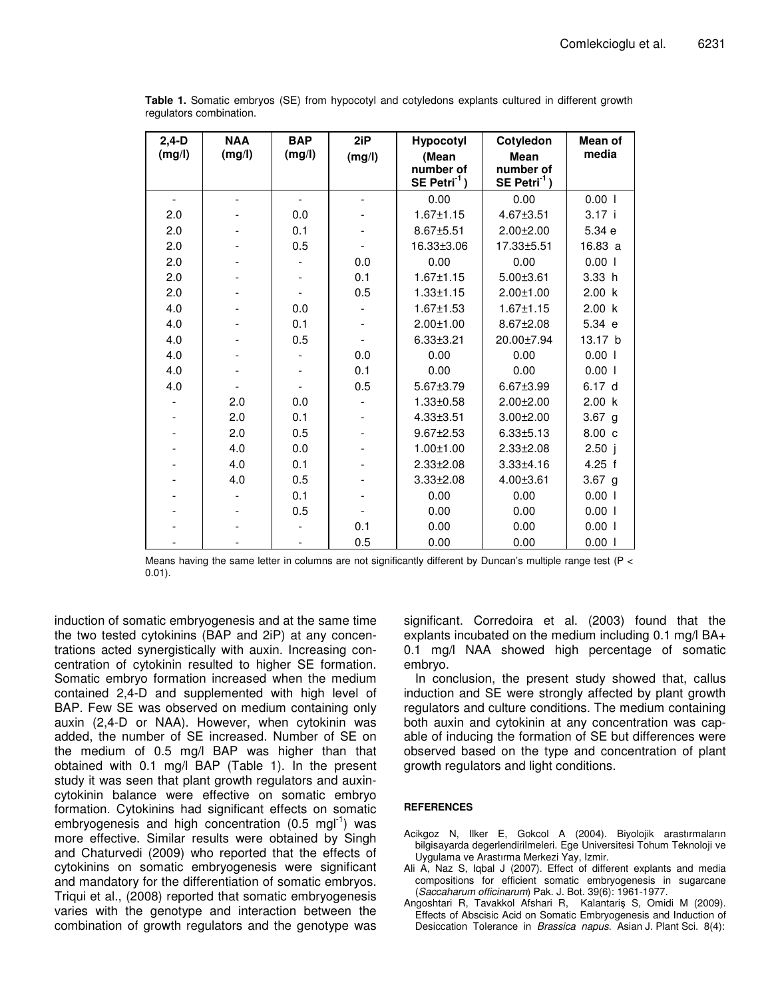| $2,4-D$<br>(mg/l) | <b>NAA</b><br>(mg/l) | <b>BAP</b><br>(mg/l) | 2iP<br>(mg/l) | Cotyledon<br><b>Hypocotyl</b><br>(Mean<br><b>Mean</b><br>number of<br>number of |                            | Mean of<br>media   |  |
|-------------------|----------------------|----------------------|---------------|---------------------------------------------------------------------------------|----------------------------|--------------------|--|
|                   |                      |                      |               | $SE$ Petri <sup>-1</sup> )                                                      | $SE$ Petri <sup>-1</sup> ) |                    |  |
| $\blacksquare$    |                      | $\blacksquare$       |               | 0.00                                                                            | 0.00                       | 0.001              |  |
| 2.0               |                      | 0.0                  |               | $1.67 \pm 1.15$                                                                 | 4.67±3.51                  | 3.17 i             |  |
| 2.0               |                      | 0.1                  |               | 8.67±5.51                                                                       | $2.00 \pm 2.00$            | 5.34 e             |  |
| 2.0               |                      | 0.5                  |               | 16.33±3.06                                                                      | 17.33±5.51                 | 16.83 a            |  |
| 2.0               |                      |                      | 0.0           | 0.00                                                                            | 0.00                       | 0.001              |  |
| 2.0               |                      |                      | 0.1           | $1.67 \pm 1.15$                                                                 | $5.00 \pm 3.61$            | 3.33 h             |  |
| 2.0               |                      |                      | 0.5           | $1.33 + 1.15$                                                                   | $2.00 + 1.00$              | 2.00 k             |  |
| 4.0               |                      | 0.0                  |               | $1.67 \pm 1.53$                                                                 | $1.67 \pm 1.15$            | 2.00 k             |  |
| 4.0               |                      | 0.1                  |               | $2.00 \pm 1.00$                                                                 | $8.67 \pm 2.08$            | 5.34 e             |  |
| 4.0               |                      | 0.5                  |               | $6.33 \pm 3.21$                                                                 | 20.00±7.94                 | 13.17 <sub>b</sub> |  |
| 4.0               |                      |                      | 0.0           | 0.00                                                                            | 0.00                       | 0.001              |  |
| 4.0               |                      |                      | 0.1           | 0.00                                                                            | 0.00                       | 0.001              |  |
| 4.0               |                      |                      | 0.5           | 5.67±3.79                                                                       | $6.67 \pm 3.99$            | 6.17 <sub>d</sub>  |  |
|                   | 2.0                  | 0.0                  |               | $1.33 + 0.58$                                                                   | 2.00±2.00                  | 2.00 k             |  |
|                   | 2.0                  | 0.1                  |               | $4.33 \pm 3.51$                                                                 | $3.00 + 2.00$              | $3.67$ g           |  |
|                   | 2.0                  | 0.5                  |               | $9.67 \pm 2.53$                                                                 | $6.33 \pm 5.13$            | 8.00 <sub>c</sub>  |  |
|                   | 4.0                  | 0.0                  |               | $1.00 \pm 1.00$                                                                 | $2.33 \pm 2.08$            | 2.50j              |  |
|                   | 4.0                  | 0.1                  |               | $2.33 \pm 2.08$                                                                 | $3.33 + 4.16$              | $4.25$ f           |  |
|                   | 4.0                  | 0.5                  |               | $3.33 \pm 2.08$                                                                 | $4.00 \pm 3.61$            | $3.67$ g           |  |
|                   |                      | 0.1                  |               | 0.00                                                                            | 0.00                       | 0.001              |  |
|                   |                      | 0.5                  |               | 0.00                                                                            | 0.00                       | 0.001              |  |
|                   |                      |                      | 0.1           | 0.00                                                                            | 0.00                       | 0.001              |  |
|                   |                      |                      | 0.5           | 0.00                                                                            | 0.00                       | $0.00$             |  |

| Table 1. Somatic embryos (SE) from hypocotyl and cotyledons explants cultured in different growth |  |  |  |  |
|---------------------------------------------------------------------------------------------------|--|--|--|--|
| regulators combination.                                                                           |  |  |  |  |

Means having the same letter in columns are not significantly different by Duncan's multiple range test (P <  $0.01$ ).

induction of somatic embryogenesis and at the same time the two tested cytokinins (BAP and 2iP) at any concentrations acted synergistically with auxin. Increasing concentration of cytokinin resulted to higher SE formation. Somatic embryo formation increased when the medium contained 2,4-D and supplemented with high level of BAP. Few SE was observed on medium containing only auxin (2,4-D or NAA). However, when cytokinin was added, the number of SE increased. Number of SE on the medium of 0.5 mg/l BAP was higher than that obtained with 0.1 mg/l BAP (Table 1). In the present study it was seen that plant growth regulators and auxincytokinin balance were effective on somatic embryo formation. Cytokinins had significant effects on somatic embryogenesis and high concentration (0.5 mgl<sup>-1</sup>) was more effective. Similar results were obtained by Singh and Chaturvedi (2009) who reported that the effects of cytokinins on somatic embryogenesis were significant and mandatory for the differentiation of somatic embryos. Triqui et al., (2008) reported that somatic embryogenesis varies with the genotype and interaction between the combination of growth regulators and the genotype was significant. Corredoira et al. (2003) found that the explants incubated on the medium including  $0.1 \text{ mg/l} \text{ BA}$ + 0.1 mg/l NAA showed high percentage of somatic embryo.

In conclusion, the present study showed that, callus induction and SE were strongly affected by plant growth regulators and culture conditions. The medium containing both auxin and cytokinin at any concentration was capable of inducing the formation of SE but differences were observed based on the type and concentration of plant growth regulators and light conditions.

#### **REFERENCES**

- Acikgoz N, Ilker E, Gokcol A (2004). Biyolojik arastırmaların bilgisayarda degerlendirilmeleri. Ege Universitesi Tohum Teknoloji ve Uygulama ve Arastırma Merkezi Yay, Izmir.
- Ali A, Naz S, Iqbal J (2007). Effect of different explants and media compositions for efficient somatic embryogenesis in sugarcane (Saccaharum officinarum) Pak. J. Bot. 39(6): 1961-1977.
- Angoshtari R, Tavakkol Afshari R, Kalantariş S, Omidi M (2009). Effects of Abscisic Acid on Somatic Embryogenesis and Induction of Desiccation Tolerance in *Brassica napus*. Asian J. Plant Sci. 8(4):